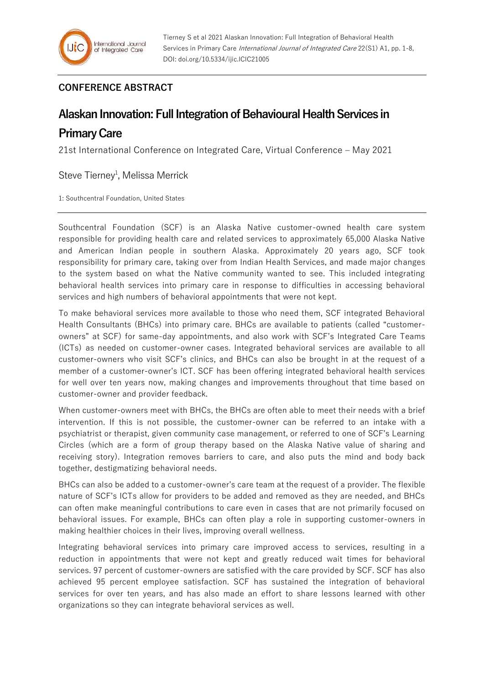## **CONFERENCE ABSTRACT**

## **Alaskan Innovation: Full Integration of Behavioural Health Services in**

## **Primary Care**

21st International Conference on Integrated Care, Virtual Conference – May 2021

Steve Tierney<sup>1</sup>, Melissa Merrick

1: Southcentral Foundation, United States

Southcentral Foundation (SCF) is an Alaska Native customer-owned health care system responsible for providing health care and related services to approximately 65,000 Alaska Native and American Indian people in southern Alaska. Approximately 20 years ago, SCF took responsibility for primary care, taking over from Indian Health Services, and made major changes to the system based on what the Native community wanted to see. This included integrating behavioral health services into primary care in response to difficulties in accessing behavioral services and high numbers of behavioral appointments that were not kept.

To make behavioral services more available to those who need them, SCF integrated Behavioral Health Consultants (BHCs) into primary care. BHCs are available to patients (called "customerowners" at SCF) for same-day appointments, and also work with SCF's Integrated Care Teams (ICTs) as needed on customer-owner cases. Integrated behavioral services are available to all customer-owners who visit SCF's clinics, and BHCs can also be brought in at the request of a member of a customer-owner's ICT. SCF has been offering integrated behavioral health services for well over ten years now, making changes and improvements throughout that time based on customer-owner and provider feedback.

When customer-owners meet with BHCs, the BHCs are often able to meet their needs with a brief intervention. If this is not possible, the customer-owner can be referred to an intake with a psychiatrist or therapist, given community case management, or referred to one of SCF's Learning Circles (which are a form of group therapy based on the Alaska Native value of sharing and receiving story). Integration removes barriers to care, and also puts the mind and body back together, destigmatizing behavioral needs.

BHCs can also be added to a customer-owner's care team at the request of a provider. The flexible nature of SCF's ICTs allow for providers to be added and removed as they are needed, and BHCs can often make meaningful contributions to care even in cases that are not primarily focused on behavioral issues. For example, BHCs can often play a role in supporting customer-owners in making healthier choices in their lives, improving overall wellness.

Integrating behavioral services into primary care improved access to services, resulting in a reduction in appointments that were not kept and greatly reduced wait times for behavioral services. 97 percent of customer-owners are satisfied with the care provided by SCF. SCF has also achieved 95 percent employee satisfaction. SCF has sustained the integration of behavioral services for over ten years, and has also made an effort to share lessons learned with other organizations so they can integrate behavioral services as well.